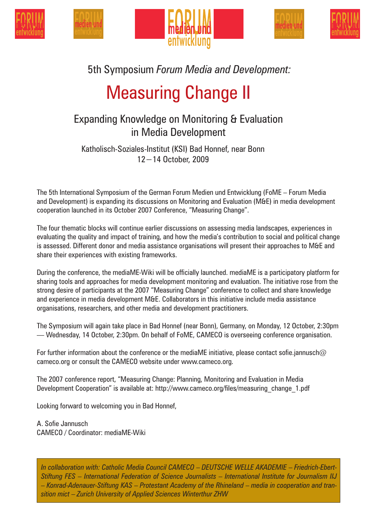







## 5th Symposium *Forum Media and Development:*

# Measuring Change II

### Expanding Knowledge on Monitoring & Evaluation in Media Development

Katholisch-Soziales-Institut (KSI) Bad Honnef, near Bonn 12−14 October, 2009

The 5th International Symposium of the German Forum Medien und Entwicklung (FoME – Forum Media and Development) is expanding its discussions on Monitoring and Evaluation (M&E) in media development cooperation launched in its October 2007 Conference, "Measuring Change".

The four thematic blocks will continue earlier discussions on assessing media landscapes, experiences in evaluating the quality and impact of training, and how the media's contribution to social and political change is assessed. Different donor and media assistance organisations will present their approaches to M&E and share their experiences with existing frameworks.

During the conference, the mediaME-Wiki will be officially launched. mediaME is a participatory platform for sharing tools and approaches for media development monitoring and evaluation. The initiative rose from the strong desire of participants at the 2007 "Measuring Change" conference to collect and share knowledge and experience in media development M&E. Collaborators in this initiative include media assistance organisations, researchers, and other media and development practitioners.

The Symposium will again take place in Bad Honnef (near Bonn), Germany, on Monday, 12 October, 2:30pm — Wednesday, 14 October, 2:30pm. On behalf of FoME, CAMECO is overseeing conference organisation.

For further information about the conference or the mediaME initiative, please contact sofie.jannusch@ cameco.org or consult the CAMECO website under www.cameco.org.

The 2007 conference report, "Measuring Change: Planning, Monitoring and Evaluation in Media Development Cooperation" is available at: http://www.cameco.org/files/measuring change 1.pdf

Looking forward to welcoming you in Bad Honnef,

A. Sofie Jannusch CAMECO / Coordinator: mediaME-Wiki

*In collaboration with: Catholic Media Council CAMECO* – *DEUTSCHE WELLE AKADEMIE* – *Friedrich-Ebert-Stiftung FES* – *International Federation of Science Journalists* – *International Institute for Journalism IIJ*  – *Konrad-Adenauer-Stiftung KAS* – *Protestant Academy of the Rhineland* – *media in cooperation and transition mict* – *Zurich University of Applied Sciences Winterthur ZHW*